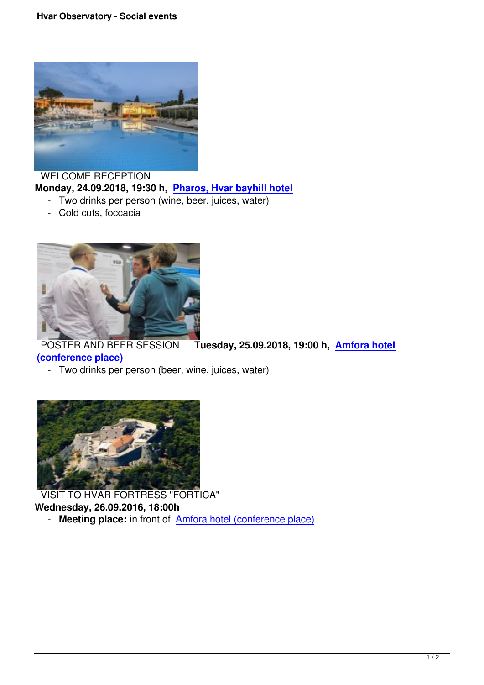

 WELCOME RECEPTION **Monday, 24.09.2018, 19:30 h, Pharos, Hvar bayhill hotel**

- Two drinks per person (wine, beer, juices, water)
- Cold cuts, foccacia



 POSTER AND BEER SESSION **Tuesday, 25.09.2018, 19:00 h, Amfora hotel (conference place)**

- Two drinks per person (beer, wine, juices, water)



 VISIT TO HVAR FORTRESS "FORTICA" **Wednesday, 26.09.2016, 18:00h** - **Meeting place:** in front of **Amfora hotel (conference place)**